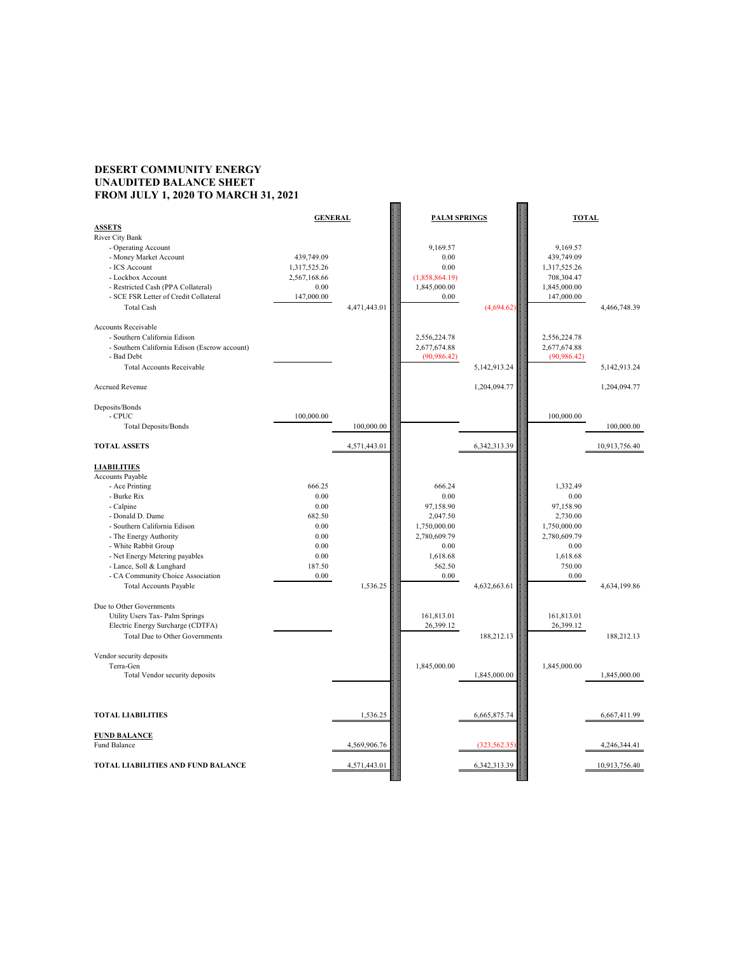## **DESERT COMMUNITY ENERGY UNAUDITED BALANCE SHEET FROM JULY 1, 2020 TO MARCH 31, 2021**



| <b>ASSETS</b>                                 | <b>GENERAL</b> |              | <b>PALM SPRINGS</b> |                 | <b>TOTAL</b> |                 |
|-----------------------------------------------|----------------|--------------|---------------------|-----------------|--------------|-----------------|
| River City Bank                               |                |              |                     |                 |              |                 |
| - Operating Account                           |                |              | 9,169.57            |                 | 9,169.57     |                 |
| - Money Market Account                        | 439,749.09     |              | 0.00                |                 | 439,749.09   |                 |
| - ICS Account                                 | 1,317,525.26   |              | 0.00                |                 | 1,317,525.26 |                 |
| - Lockbox Account                             | 2,567,168.66   |              | (1,858,864.19)      |                 | 708,304.47   |                 |
| - Restricted Cash (PPA Collateral)            | 0.00           |              | 1,845,000.00        |                 | 1,845,000.00 |                 |
| - SCE FSR Letter of Credit Collateral         | 147,000.00     |              | 0.00                |                 | 147,000.00   |                 |
| <b>Total Cash</b>                             |                | 4,471,443.01 |                     | (4,694.62)      |              | 4,466,748.39    |
|                                               |                |              |                     |                 |              |                 |
| <b>Accounts Receivable</b>                    |                |              |                     |                 |              |                 |
| - Southern California Edison                  |                |              | 2,556,224.78        |                 | 2,556,224.78 |                 |
| - Southern California Edison (Escrow account) |                |              | 2,677,674.88        |                 | 2,677,674.88 |                 |
| - Bad Debt                                    |                |              | (90, 986.42)        |                 | (90, 986.42) |                 |
| <b>Total Accounts Receivable</b>              |                |              |                     | 5, 142, 913. 24 |              | 5, 142, 913. 24 |
|                                               |                |              |                     |                 |              |                 |
| <b>Accrued Revenue</b>                        |                |              |                     | 1,204,094.77    |              | 1,204,094.77    |
|                                               |                |              |                     |                 |              |                 |
| Deposits/Bonds                                |                |              |                     |                 |              |                 |
| $-CPUC$                                       | 100,000.00     |              |                     |                 | 100,000.00   |                 |
| <b>Total Deposits/Bonds</b>                   |                | 100,000.00   |                     |                 |              | 100,000.00      |
| <b>TOTAL ASSETS</b>                           |                | 4,571,443.01 |                     | 6, 342, 313. 39 |              | 10,913,756.40   |
| <b>LIABILITIES</b>                            |                |              |                     |                 |              |                 |
| Accounts Payable                              |                |              |                     |                 |              |                 |
| - Ace Printing                                | 666.25         |              | 666.24              |                 | 1,332.49     |                 |
| - Burke Rix                                   | 0.00           |              | 0.00                |                 | 0.00         |                 |
| - Calpine                                     | 0.00           |              | 97,158.90           |                 | 97,158.90    |                 |
| - Donald D. Dame                              | 682.50         |              | 2,047.50            |                 | 2,730.00     |                 |
| - Southern California Edison                  | 0.00           |              | 1,750,000.00        |                 | 1,750,000.00 |                 |
| - The Energy Authority                        | 0.00           |              | 2,780,609.79        |                 | 2,780,609.79 |                 |
| - White Rabbit Group                          | 0.00           |              | 0.00                |                 | 0.00         |                 |
| - Net Energy Metering payables                | 0.00           |              | 1,618.68            |                 | 1,618.68     |                 |
| - Lance, Soll & Lunghard                      | 187.50         |              | 562.50              |                 | 750.00       |                 |
| - CA Community Choice Association             | 0.00           |              | $0.00\,$            |                 | 0.00         |                 |
| <b>Total Accounts Payable</b>                 |                | 1,536.25     |                     | 4,632,663.61    |              | 4,634,199.86    |
|                                               |                |              |                     |                 |              |                 |
| Due to Other Governments                      |                |              |                     |                 |              |                 |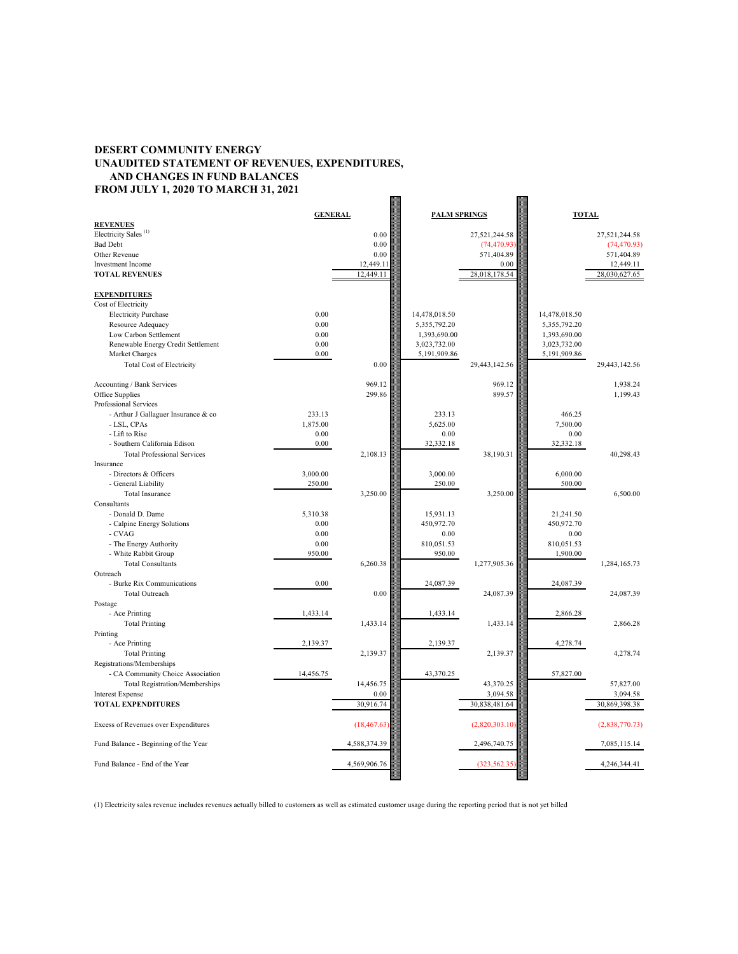## **DESERT COMMUNITY ENERGY UNAUDITED STATEMENT OF REVENUES, EXPENDITURES, AND CHANGES IN FUND BALANCES FROM JULY 1, 2020 TO MARCH 31, 2021**  $\blacksquare$

|                                      | <b>GENERAL</b> |              | <b>PALM SPRINGS</b> |                | <b>TOTAL</b>  |                |
|--------------------------------------|----------------|--------------|---------------------|----------------|---------------|----------------|
| <b>REVENUES</b>                      |                |              |                     |                |               |                |
| Electricity Sales <sup>(1)</sup>     |                | 0.00         |                     | 27,521,244.58  |               | 27,521,244.58  |
| <b>Bad Debt</b>                      |                | 0.00         |                     | (74, 470.93)   |               | (74, 470.93)   |
| Other Revenue                        |                | 0.00         |                     | 571,404.89     |               | 571,404.89     |
| <b>Investment Income</b>             |                | 12,449.11    |                     | 0.00           |               | 12,449.11      |
| <b>TOTAL REVENUES</b>                |                | 12,449.11    |                     | 28,018,178.54  |               | 28,030,627.65  |
|                                      |                |              |                     |                |               |                |
| <b>EXPENDITURES</b>                  |                |              |                     |                |               |                |
| Cost of Electricity                  |                |              |                     |                |               |                |
| <b>Electricity Purchase</b>          | 0.00           |              | 14,478,018.50       |                | 14,478,018.50 |                |
| Resource Adequacy                    | 0.00           |              | 5,355,792.20        |                | 5,355,792.20  |                |
| Low Carbon Settlement                | 0.00           |              | 1,393,690.00        |                | 1,393,690.00  |                |
| Renewable Energy Credit Settlement   | 0.00           |              | 3,023,732.00        |                | 3,023,732.00  |                |
| Market Charges                       | 0.00           |              | 5,191,909.86        |                | 5,191,909.86  |                |
| <b>Total Cost of Electricity</b>     |                | 0.00         |                     | 29,443,142.56  |               | 29,443,142.56  |
|                                      |                |              |                     |                |               |                |
| Accounting / Bank Services           |                | 969.12       |                     | 969.12         |               | 1,938.24       |
| Office Supplies                      |                | 299.86       |                     | 899.57         |               | 1,199.43       |
| Professional Services                |                |              |                     |                |               |                |
| - Arthur J Gallaguer Insurance & co  | 233.13         |              | 233.13              |                | 466.25        |                |
|                                      |                |              |                     |                |               |                |
| - LSL, CPAs                          | 1,875.00       |              | 5,625.00            |                | 7,500.00      |                |
| - Lift to Rise                       | 0.00           |              | 0.00                |                | 0.00          |                |
| - Southern California Edison         | 0.00           |              | 32,332.18           |                | 32,332.18     |                |
| <b>Total Professional Services</b>   |                | 2,108.13     |                     | 38,190.31      |               | 40,298.43      |
| Insurance                            |                |              |                     |                |               |                |
| - Directors & Officers               | 3,000.00       |              | 3,000.00            |                | 6,000.00      |                |
| - General Liability                  | 250.00         |              | 250.00              |                | 500.00        |                |
| <b>Total Insurance</b>               |                | 3,250.00     |                     | 3,250.00       |               | 6,500.00       |
| Consultants                          |                |              |                     |                |               |                |
| - Donald D. Dame                     | 5,310.38       |              | 15,931.13           |                | 21,241.50     |                |
| - Calpine Energy Solutions           | 0.00           |              | 450,972.70          |                | 450,972.70    |                |
| - CVAG                               | 0.00           |              | 0.00                |                | 0.00          |                |
| - The Energy Authority               | 0.00           |              | 810,051.53          |                | 810,051.53    |                |
| - White Rabbit Group                 | 950.00         |              | 950.00              |                | 1,900.00      |                |
| <b>Total Consultants</b>             |                | 6,260.38     |                     | 1,277,905.36   |               | 1,284,165.73   |
| Outreach                             |                |              |                     |                |               |                |
| - Burke Rix Communications           | 0.00           |              | 24,087.39           |                | 24,087.39     |                |
| <b>Total Outreach</b>                |                | $0.00\,$     |                     | 24,087.39      |               | 24,087.39      |
| Postage                              |                |              |                     |                |               |                |
| - Ace Printing                       | 1,433.14       |              | 1,433.14            |                | 2,866.28      |                |
| <b>Total Printing</b>                |                | 1,433.14     |                     | 1,433.14       |               | 2,866.28       |
| Printing                             |                |              |                     |                |               |                |
| - Ace Printing                       | 2,139.37       |              | 2,139.37            |                | 4,278.74      |                |
| <b>Total Printing</b>                |                | 2,139.37     |                     | 2,139.37       |               | 4,278.74       |
| Registrations/Memberships            |                |              |                     |                |               |                |
| - CA Community Choice Association    | 14,456.75      |              | 43,370.25           |                | 57,827.00     |                |
| Total Registration/Memberships       |                | 14,456.75    |                     | 43,370.25      |               | 57,827.00      |
| <b>Interest Expense</b>              |                | 0.00         |                     | 3,094.58       |               | 3,094.58       |
| <b>TOTAL EXPENDITURES</b>            |                | 30,916.74    |                     | 30,838,481.64  |               | 30,869,398.38  |
|                                      |                |              |                     |                |               |                |
| Excess of Revenues over Expenditures |                | (18, 467.63) |                     | (2,820,303.10) |               | (2,838,770.73) |
| Fund Balance - Beginning of the Year |                | 4,588,374.39 |                     | 2,496,740.75   |               | 7,085,115.14   |
| Fund Balance - End of the Year       |                | 4,569,906.76 |                     | (323, 562.35)  |               | 4,246,344.41   |
|                                      |                |              |                     |                |               |                |

(1) Electricity sales revenue includes revenues actually billed to customers as well as estimated customer usage during the reporting period that is not yet billed